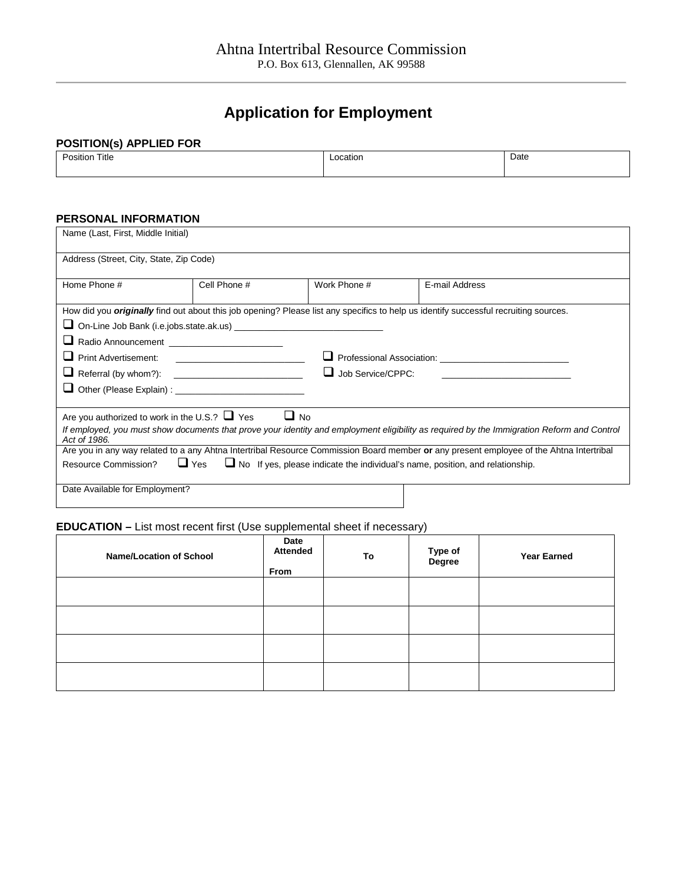## **Application for Employment**

## **POSITION(s) APPLIED FOR**

| Title<br>. De<br>зию<br>$\qquad \qquad \vdots \qquad \qquad \vdots \qquad \qquad \vdots \qquad \qquad \vdots$ | $-0.05$<br>catior<br>. | Date |
|---------------------------------------------------------------------------------------------------------------|------------------------|------|
|                                                                                                               |                        |      |

## **PERSONAL INFORMATION**

| Name (Last, First, Middle Initial)                                                                                                |              |                   |                                                                                                                                             |  |
|-----------------------------------------------------------------------------------------------------------------------------------|--------------|-------------------|---------------------------------------------------------------------------------------------------------------------------------------------|--|
| Address (Street, City, State, Zip Code)                                                                                           |              |                   |                                                                                                                                             |  |
| Home Phone #                                                                                                                      | Cell Phone # | Work Phone #      | E-mail Address                                                                                                                              |  |
|                                                                                                                                   |              |                   | How did you <i>originally</i> find out about this job opening? Please list any specifics to help us identify successful recruiting sources. |  |
|                                                                                                                                   |              |                   |                                                                                                                                             |  |
| Radio Announcement _________________________                                                                                      |              |                   |                                                                                                                                             |  |
|                                                                                                                                   |              |                   |                                                                                                                                             |  |
|                                                                                                                                   |              | Job Service/CPPC: |                                                                                                                                             |  |
|                                                                                                                                   |              |                   |                                                                                                                                             |  |
| Are you authorized to work in the U.S.? $\Box$ Yes                                                                                |              | $\Box$ No         |                                                                                                                                             |  |
| Act of 1986.                                                                                                                      |              |                   | If employed, you must show documents that prove your identity and employment eligibility as required by the Immigration Reform and Control  |  |
|                                                                                                                                   |              |                   | Are you in any way related to a any Ahtna Intertribal Resource Commission Board member or any present employee of the Ahtna Intertribal     |  |
| $\Box$ No If yes, please indicate the individual's name, position, and relationship.<br>$\Box$ Yes<br><b>Resource Commission?</b> |              |                   |                                                                                                                                             |  |
|                                                                                                                                   |              |                   |                                                                                                                                             |  |
| Date Available for Employment?                                                                                                    |              |                   |                                                                                                                                             |  |

## **EDUCATION –** List most recent first (Use supplemental sheet if necessary)

| <b>Name/Location of School</b> | Date<br><b>Attended</b><br>From | To | Type of<br>Degree | <b>Year Earned</b> |
|--------------------------------|---------------------------------|----|-------------------|--------------------|
|                                |                                 |    |                   |                    |
|                                |                                 |    |                   |                    |
|                                |                                 |    |                   |                    |
|                                |                                 |    |                   |                    |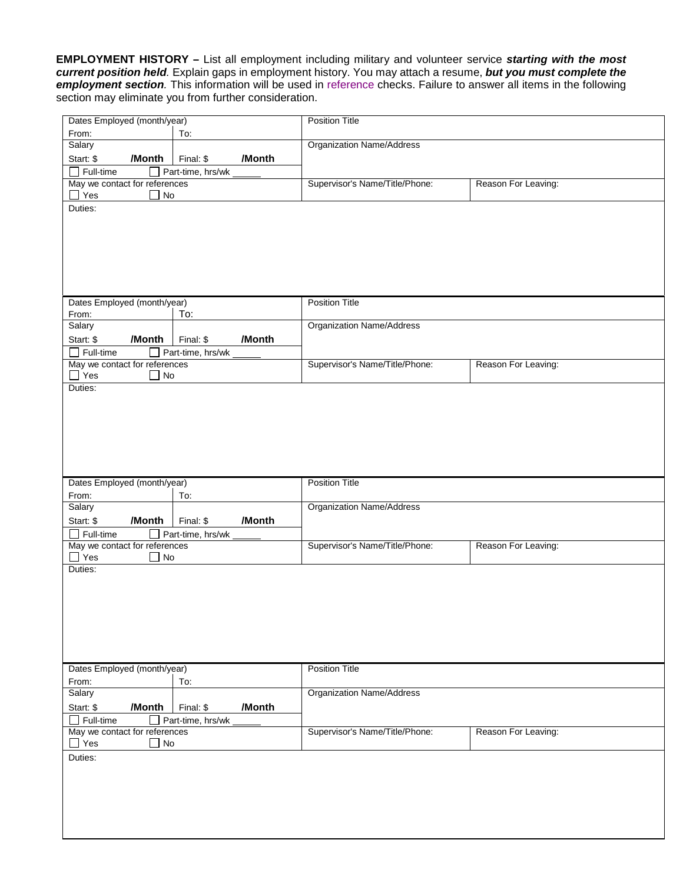**EMPLOYMENT HISTORY –** List all employment including military and volunteer service *starting with the most current position held.* Explain gaps in employment history. You may attach a resume, *but you must complete the employment section.* This information will be used in reference checks. Failure to answer all items in the following section may eliminate you from further consideration.

| Dates Employed (month/year)                                            | <b>Position Title</b>            |                     |
|------------------------------------------------------------------------|----------------------------------|---------------------|
| To:<br>From:                                                           |                                  |                     |
| Salary                                                                 | <b>Organization Name/Address</b> |                     |
| /Month<br>/Month<br>Start: \$<br>Final: \$                             |                                  |                     |
| Full-time<br>Part-time, hrs/wk                                         |                                  |                     |
| May we contact for references                                          | Supervisor's Name/Title/Phone:   | Reason For Leaving: |
| $\Box$ Yes<br>No                                                       |                                  |                     |
| Duties:                                                                |                                  |                     |
|                                                                        |                                  |                     |
|                                                                        |                                  |                     |
|                                                                        |                                  |                     |
|                                                                        |                                  |                     |
|                                                                        |                                  |                     |
|                                                                        |                                  |                     |
| Dates Employed (month/year)                                            | <b>Position Title</b>            |                     |
| To:<br>From:<br>Salary                                                 | <b>Organization Name/Address</b> |                     |
| /Month<br>/Month                                                       |                                  |                     |
| Start: \$<br>Final: \$<br>Full-time                                    |                                  |                     |
| $\Box$ Part-time, hrs/wk<br>May we contact for references              | Supervisor's Name/Title/Phone:   | Reason For Leaving: |
| $\Box$ Yes<br>$\Box$ No                                                |                                  |                     |
| Duties:                                                                |                                  |                     |
|                                                                        |                                  |                     |
|                                                                        |                                  |                     |
|                                                                        |                                  |                     |
|                                                                        |                                  |                     |
|                                                                        |                                  |                     |
|                                                                        |                                  |                     |
|                                                                        |                                  |                     |
|                                                                        |                                  |                     |
| Dates Employed (month/year)                                            | <b>Position Title</b>            |                     |
| From:<br>To:                                                           |                                  |                     |
| Salary                                                                 | <b>Organization Name/Address</b> |                     |
| /Month<br>/Month<br>Start: \$<br>Final: \$                             |                                  |                     |
| $\Box$ Full-time<br>Part-time, hrs/wk<br>May we contact for references | Supervisor's Name/Title/Phone:   | Reason For Leaving: |
| $\Box$ Yes<br>$\Box$ No                                                |                                  |                     |
| Duties:                                                                |                                  |                     |
|                                                                        |                                  |                     |
|                                                                        |                                  |                     |
|                                                                        |                                  |                     |
|                                                                        |                                  |                     |
|                                                                        |                                  |                     |
|                                                                        |                                  |                     |
|                                                                        |                                  |                     |
| Dates Employed (month/year)                                            | <b>Position Title</b>            |                     |
| To:<br>From:                                                           |                                  |                     |
| Salary                                                                 | <b>Organization Name/Address</b> |                     |
| /Month<br>/Month<br>Start: \$<br>Final: \$                             |                                  |                     |
| Part-time, hrs/wk<br>Full-time                                         |                                  |                     |
| May we contact for references<br>$\mathsf{L}$                          | Supervisor's Name/Title/Phone:   | Reason For Leaving: |
| $\Box$ Yes<br>No                                                       |                                  |                     |
| Duties:                                                                |                                  |                     |
|                                                                        |                                  |                     |
|                                                                        |                                  |                     |
|                                                                        |                                  |                     |
|                                                                        |                                  |                     |
|                                                                        |                                  |                     |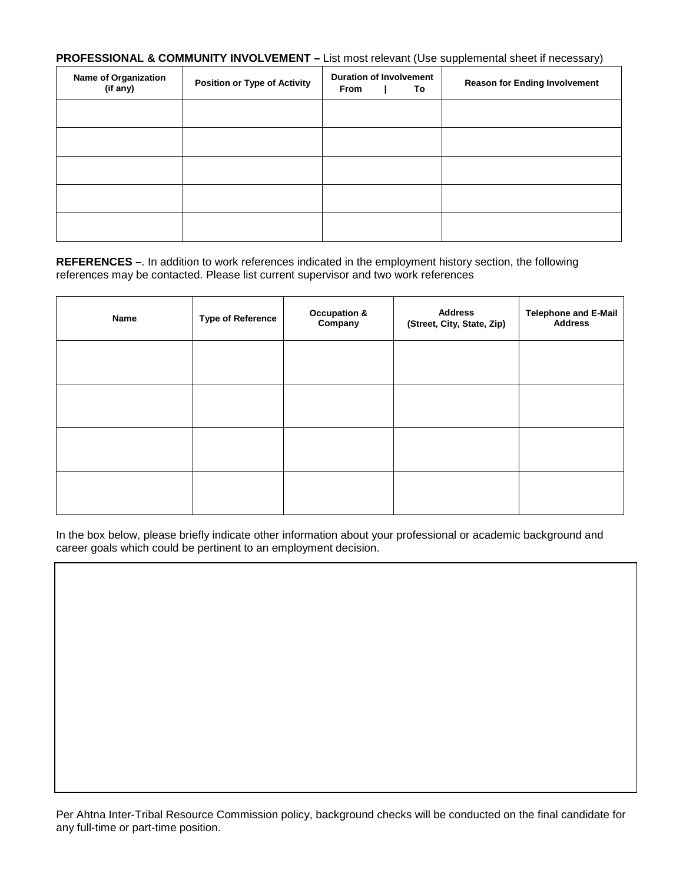**PROFESSIONAL & COMMUNITY INVOLVEMENT –** List most relevant (Use supplemental sheet if necessary)

| <b>Name of Organization</b><br>(if any) | <b>Position or Type of Activity</b> | <b>Duration of Involvement</b><br><b>From</b><br>To | <b>Reason for Ending Involvement</b> |
|-----------------------------------------|-------------------------------------|-----------------------------------------------------|--------------------------------------|
|                                         |                                     |                                                     |                                      |
|                                         |                                     |                                                     |                                      |
|                                         |                                     |                                                     |                                      |
|                                         |                                     |                                                     |                                      |
|                                         |                                     |                                                     |                                      |

**REFERENCES –**. In addition to work references indicated in the employment history section, the following references may be contacted. Please list current supervisor and two work references

| Name | <b>Type of Reference</b> | <b>Occupation &amp;</b><br>Company | <b>Address</b><br>(Street, City, State, Zip) | Telephone and E-Mail<br>Address |
|------|--------------------------|------------------------------------|----------------------------------------------|---------------------------------|
|      |                          |                                    |                                              |                                 |
|      |                          |                                    |                                              |                                 |
|      |                          |                                    |                                              |                                 |
|      |                          |                                    |                                              |                                 |

In the box below, please briefly indicate other information about your professional or academic background and career goals which could be pertinent to an employment decision.

Per Ahtna Inter-Tribal Resource Commission policy, background checks will be conducted on the final candidate for any full-time or part-time position.